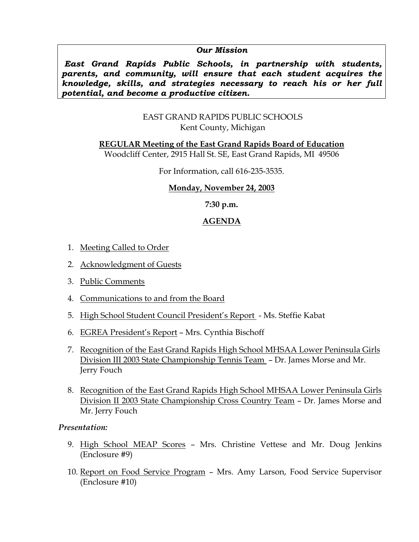#### *Our Mission*

 *East Grand Rapids Public Schools, in partnership with students, parents, and community, will ensure that each student acquires the knowledge, skills, and strategies necessary to reach his or her full potential, and become a productive citizen.* 

#### EAST GRAND RAPIDS PUBLIC SCHOOLS Kent County, Michigan

**REGULAR Meeting of the East Grand Rapids Board of Education**

Woodcliff Center, 2915 Hall St. SE, East Grand Rapids, MI 49506

For Information, call 616-235-3535.

# **Monday, November 24, 2003**

**7:30 p.m.** 

# **AGENDA**

- 1. Meeting Called to Order
- 2. Acknowledgment of Guests
- 3. Public Comments
- 4. Communications to and from the Board
- 5. High School Student Council President's Report Ms. Steffie Kabat
- 6. EGREA President's Report Mrs. Cynthia Bischoff
- 7. Recognition of the East Grand Rapids High School MHSAA Lower Peninsula Girls Division III 2003 State Championship Tennis Team – Dr. James Morse and Mr. Jerry Fouch
- 8. Recognition of the East Grand Rapids High School MHSAA Lower Peninsula Girls Division II 2003 State Championship Cross Country Team – Dr. James Morse and Mr. Jerry Fouch

# *Presentation:*

- 9. High School MEAP Scores Mrs. Christine Vettese and Mr. Doug Jenkins (Enclosure #9)
- 10. Report on Food Service Program Mrs. Amy Larson, Food Service Supervisor (Enclosure #10)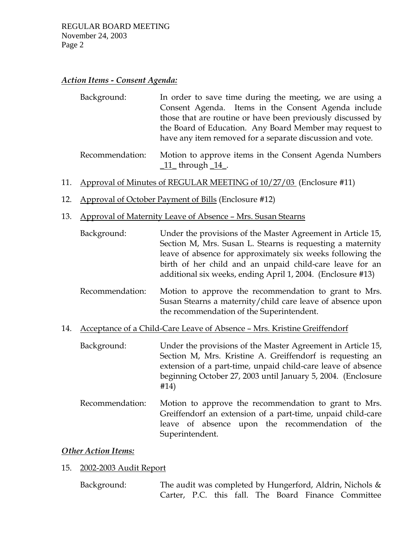# *Action Items - Consent Agenda:*

| Background: | In order to save time during the meeting, we are using a    |
|-------------|-------------------------------------------------------------|
|             | Consent Agenda. Items in the Consent Agenda include         |
|             | those that are routine or have been previously discussed by |
|             | the Board of Education. Any Board Member may request to     |
|             | have any item removed for a separate discussion and vote.   |
|             |                                                             |

 Recommendation: Motion to approve items in the Consent Agenda Numbers  $11$ \_through  $14$ .

#### 11. Approval of Minutes of REGULAR MEETING of 10/27/03 (Enclosure #11)

- 12. Approval of October Payment of Bills (Enclosure #12)
- 13. Approval of Maternity Leave of Absence Mrs. Susan Stearns
	- Background: Under the provisions of the Master Agreement in Article 15, Section M, Mrs. Susan L. Stearns is requesting a maternity leave of absence for approximately six weeks following the birth of her child and an unpaid child-care leave for an additional six weeks, ending April 1, 2004. (Enclosure #13)
	- Recommendation: Motion to approve the recommendation to grant to Mrs. Susan Stearns a maternity/child care leave of absence upon the recommendation of the Superintendent.
- 14. Acceptance of a Child-Care Leave of Absence Mrs. Kristine Greiffendorf
	- Background: Under the provisions of the Master Agreement in Article 15, Section M, Mrs. Kristine A. Greiffendorf is requesting an extension of a part-time, unpaid child-care leave of absence beginning October 27, 2003 until January 5, 2004. (Enclosure #14)
	- Recommendation: Motion to approve the recommendation to grant to Mrs. Greiffendorf an extension of a part-time, unpaid child-care leave of absence upon the recommendation of the Superintendent.

#### *Other Action Items:*

- 15. 2002-2003 Audit Report
	- Background: The audit was completed by Hungerford, Aldrin, Nichols & Carter, P.C. this fall. The Board Finance Committee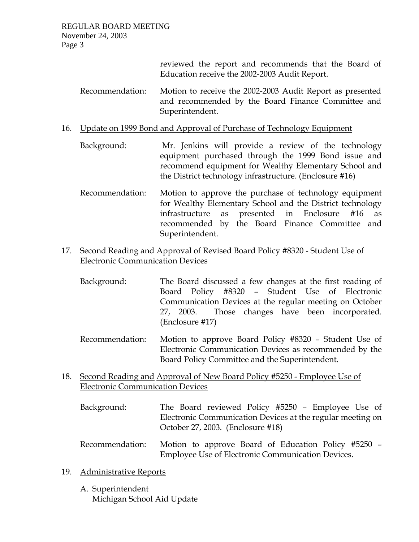reviewed the report and recommends that the Board of Education receive the 2002-2003 Audit Report.

- Recommendation: Motion to receive the 2002-2003 Audit Report as presented and recommended by the Board Finance Committee and Superintendent.
- 16. Update on 1999 Bond and Approval of Purchase of Technology Equipment
	- Background: Mr. Jenkins will provide a review of the technology equipment purchased through the 1999 Bond issue and recommend equipment for Wealthy Elementary School and the District technology infrastructure. (Enclosure #16)
	- Recommendation: Motion to approve the purchase of technology equipment for Wealthy Elementary School and the District technology infrastructure as presented in Enclosure #16 as recommended by the Board Finance Committee and Superintendent.
- 17. Second Reading and Approval of Revised Board Policy #8320 Student Use of Electronic Communication Devices
	- Background: The Board discussed a few changes at the first reading of Board Policy #8320 – Student Use of Electronic Communication Devices at the regular meeting on October 27, 2003. Those changes have been incorporated. (Enclosure #17)
	- Recommendation: Motion to approve Board Policy #8320 Student Use of Electronic Communication Devices as recommended by the Board Policy Committee and the Superintendent.
- 18. Second Reading and Approval of New Board Policy #5250 Employee Use of Electronic Communication Devices
	- Background: The Board reviewed Policy #5250 Employee Use of Electronic Communication Devices at the regular meeting on October 27, 2003. (Enclosure #18)
	- Recommendation: Motion to approve Board of Education Policy #5250 Employee Use of Electronic Communication Devices.

# 19. Administrative Reports

A. Superintendent Michigan School Aid Update